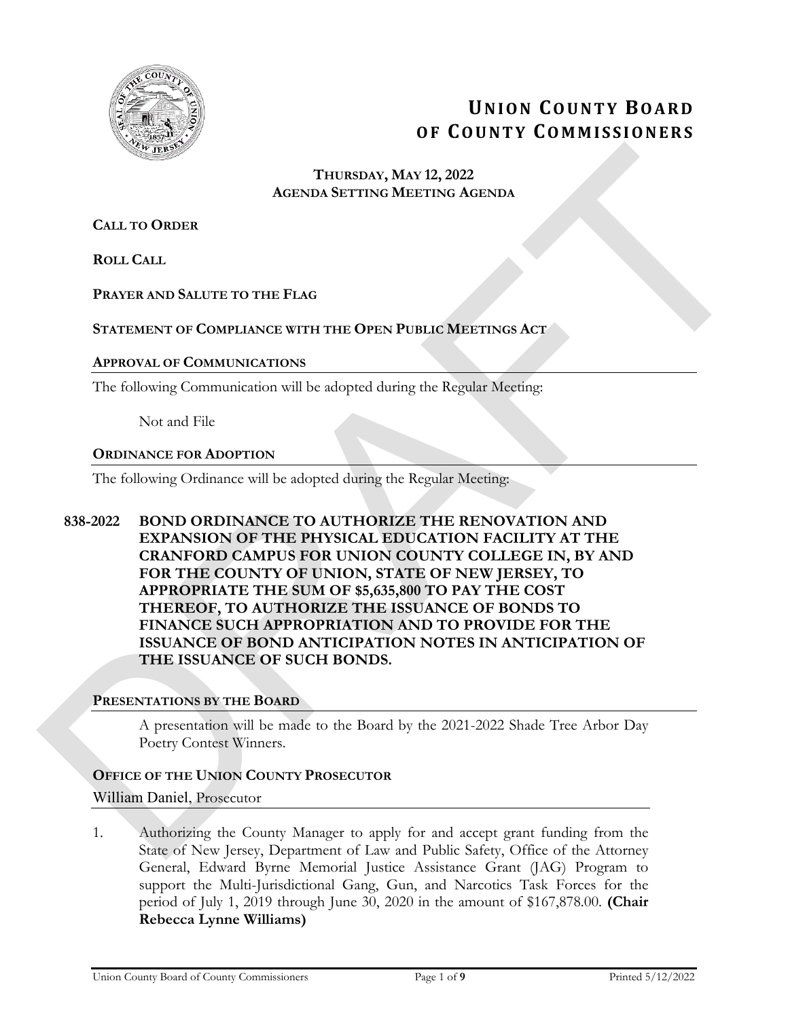

# **UNION COUNTY BOARD OF COUNTY COMMISSIONERS**

## **THURSDAY, MAY 12, 2022 AGENDA SETTING MEETING AGENDA**

**CALL TO ORDER**

**ROLL CALL**

## **PRAYER AND SALUTE TO THE FLAG**

## **STATEMENT OF COMPLIANCE WITH THE OPEN PUBLIC MEETINGS ACT**

#### **APPROVAL OF COMMUNICATIONS**

The following Communication will be adopted during the Regular Meeting:

Not and File

#### **ORDINANCE FOR ADOPTION**

The following Ordinance will be adopted during the Regular Meeting:

**838-2022 BOND ORDINANCE TO AUTHORIZE THE RENOVATION AND EXPANSION OF THE PHYSICAL EDUCATION FACILITY AT THE CRANFORD CAMPUS FOR UNION COUNTY COLLEGE IN, BY AND FOR THE COUNTY OF UNION, STATE OF NEW JERSEY, TO APPROPRIATE THE SUM OF \$5,635,800 TO PAY THE COST THEREOF, TO AUTHORIZE THE ISSUANCE OF BONDS TO FINANCE SUCH APPROPRIATION AND TO PROVIDE FOR THE ISSUANCE OF BOND ANTICIPATION NOTES IN ANTICIPATION OF THE ISSUANCE OF SUCH BONDS.**  DRAFT

## **PRESENTATIONS BY THE BOARD**

A presentation will be made to the Board by the 2021-2022 Shade Tree Arbor Day Poetry Contest Winners.

## **OFFICE OF THE UNION COUNTY PROSECUTOR**

#### William Daniel, Prosecutor

1. Authorizing the County Manager to apply for and accept grant funding from the State of New Jersey, Department of Law and Public Safety, Office of the Attorney General, Edward Byrne Memorial Justice Assistance Grant (JAG) Program to support the Multi-Jurisdictional Gang, Gun, and Narcotics Task Forces for the period of July 1, 2019 through June 30, 2020 in the amount of \$167,878.00. **(Chair Rebecca Lynne Williams)**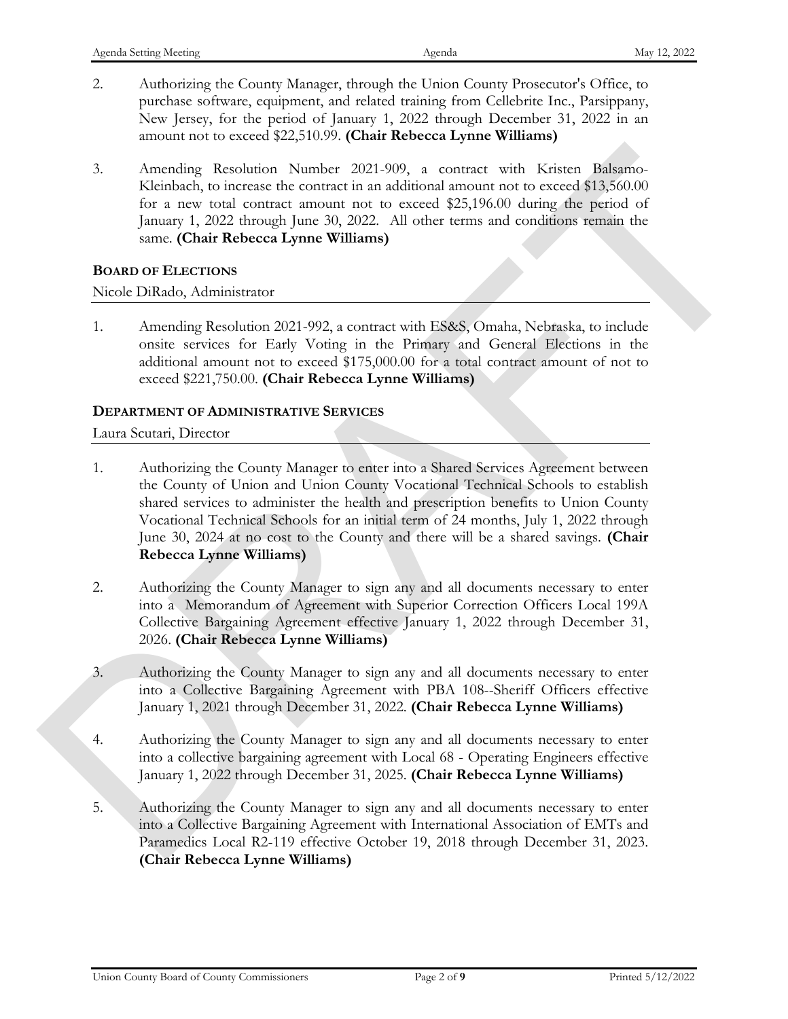- 2. Authorizing the County Manager, through the Union County Prosecutor's Office, to purchase software, equipment, and related training from Cellebrite Inc., Parsippany, New Jersey, for the period of January 1, 2022 through December 31, 2022 in an amount not to exceed \$22,510.99. **(Chair Rebecca Lynne Williams)**
- 3. Amending Resolution Number 2021-909, a contract with Kristen Balsamo-Kleinbach, to increase the contract in an additional amount not to exceed \$13,560.00 for a new total contract amount not to exceed \$25,196.00 during the period of January 1, 2022 through June 30, 2022. All other terms and conditions remain the same. **(Chair Rebecca Lynne Williams)**

## **BOARD OF ELECTIONS**

## Nicole DiRado, Administrator

1. Amending Resolution 2021-992, a contract with ES&S, Omaha, Nebraska, to include onsite services for Early Voting in the Primary and General Elections in the additional amount not to exceed \$175,000.00 for a total contract amount of not to exceed \$221,750.00. **(Chair Rebecca Lynne Williams)**

## **DEPARTMENT OF ADMINISTRATIVE SERVICES**

## Laura Scutari, Director

- 1. Authorizing the County Manager to enter into a Shared Services Agreement between the County of Union and Union County Vocational Technical Schools to establish shared services to administer the health and prescription benefits to Union County Vocational Technical Schools for an initial term of 24 months, July 1, 2022 through June 30, 2024 at no cost to the County and there will be a shared savings. **(Chair Rebecca Lynne Williams)** 3. Amending Resolution Number 2021-909, a contract with Kristen Dalsamo-<br>Kichinch, to reconsist the contract in a additional amend to its concel STS/000 (m/m) and the state of the same conceleration of the second STS/000
	- 2. Authorizing the County Manager to sign any and all documents necessary to enter into a Memorandum of Agreement with Superior Correction Officers Local 199A Collective Bargaining Agreement effective January 1, 2022 through December 31, 2026. **(Chair Rebecca Lynne Williams)**
	- 3. Authorizing the County Manager to sign any and all documents necessary to enter into a Collective Bargaining Agreement with PBA 108--Sheriff Officers effective January 1, 2021 through December 31, 2022. **(Chair Rebecca Lynne Williams)**
	- 4. Authorizing the County Manager to sign any and all documents necessary to enter into a collective bargaining agreement with Local 68 - Operating Engineers effective January 1, 2022 through December 31, 2025. **(Chair Rebecca Lynne Williams)**
	- 5. Authorizing the County Manager to sign any and all documents necessary to enter into a Collective Bargaining Agreement with International Association of EMTs and Paramedics Local R2-119 effective October 19, 2018 through December 31, 2023. **(Chair Rebecca Lynne Williams)**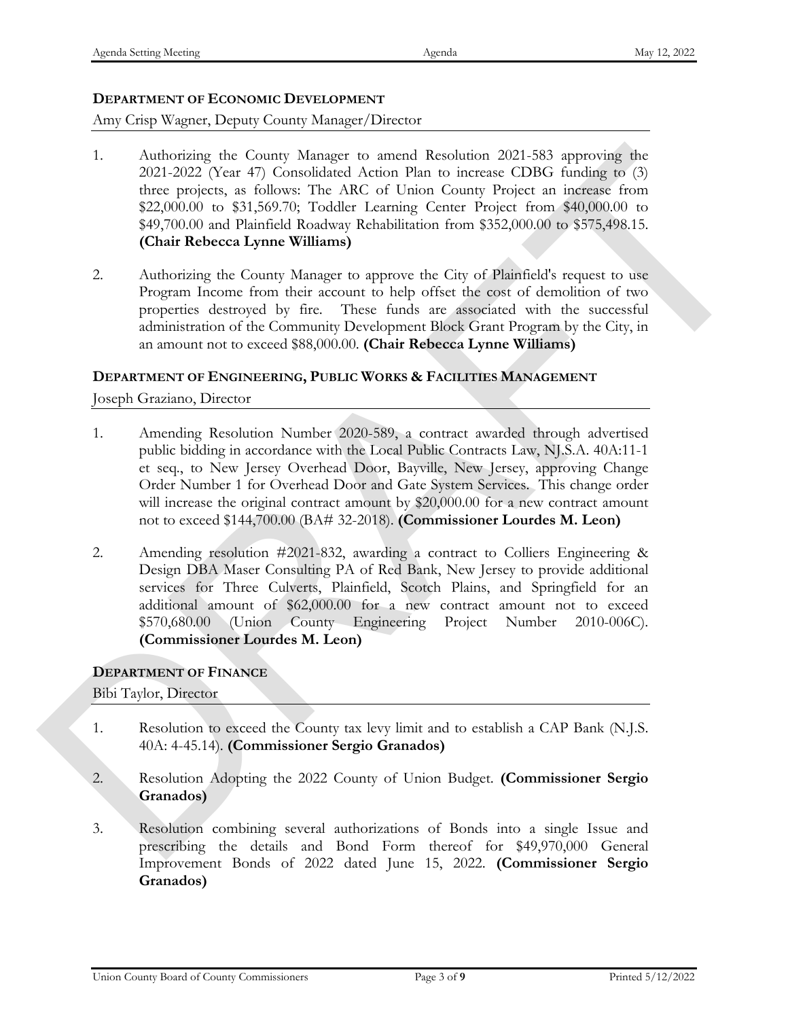## **DEPARTMENT OF ECONOMIC DEVELOPMENT**

## Amy Crisp Wagner, Deputy County Manager/Director

- 1. Authorizing the County Manager to amend Resolution 2021-583 approving the 2021-2022 (Year 47) Consolidated Action Plan to increase CDBG funding to (3) three projects, as follows: The ARC of Union County Project an increase from \$22,000.00 to \$31,569.70; Toddler Learning Center Project from \$40,000.00 to \$49,700.00 and Plainfield Roadway Rehabilitation from \$352,000.00 to \$575,498.15. **(Chair Rebecca Lynne Williams)** 1. Automobile to Comunicate of ancient Resolution 2021-388, approximate the control Resolution 2021-2022 (Net 47) Considered Action Plan in increase CDDG funding to (3)<br>
time 222,000.00 to \$31,869.70; Tak ARC of Landa Com
	- 2. Authorizing the County Manager to approve the City of Plainfield's request to use Program Income from their account to help offset the cost of demolition of two properties destroyed by fire. These funds are associated with the successful administration of the Community Development Block Grant Program by the City, in an amount not to exceed \$88,000.00. **(Chair Rebecca Lynne Williams)**

## **DEPARTMENT OF ENGINEERING, PUBLIC WORKS & FACILITIES MANAGEMENT**

Joseph Graziano, Director

- 1. Amending Resolution Number 2020-589, a contract awarded through advertised public bidding in accordance with the Local Public Contracts Law, NJ.S.A. 40A:11-1 et seq., to New Jersey Overhead Door, Bayville, New Jersey, approving Change Order Number 1 for Overhead Door and Gate System Services. This change order will increase the original contract amount by \$20,000.00 for a new contract amount not to exceed \$144,700.00 (BA# 32-2018). **(Commissioner Lourdes M. Leon)**
- 2. Amending resolution #2021-832, awarding a contract to Colliers Engineering & Design DBA Maser Consulting PA of Red Bank, New Jersey to provide additional services for Three Culverts, Plainfield, Scotch Plains, and Springfield for an additional amount of \$62,000.00 for a new contract amount not to exceed \$570,680.00 (Union County Engineering Project Number 2010-006C). **(Commissioner Lourdes M. Leon)**

## **DEPARTMENT OF FINANCE**

Bibi Taylor, Director

- 1. Resolution to exceed the County tax levy limit and to establish a CAP Bank (N.J.S. 40A: 4-45.14). **(Commissioner Sergio Granados)**
- 2. Resolution Adopting the 2022 County of Union Budget. **(Commissioner Sergio Granados)**
- 3. Resolution combining several authorizations of Bonds into a single Issue and prescribing the details and Bond Form thereof for \$49,970,000 General Improvement Bonds of 2022 dated June 15, 2022. **(Commissioner Sergio Granados)**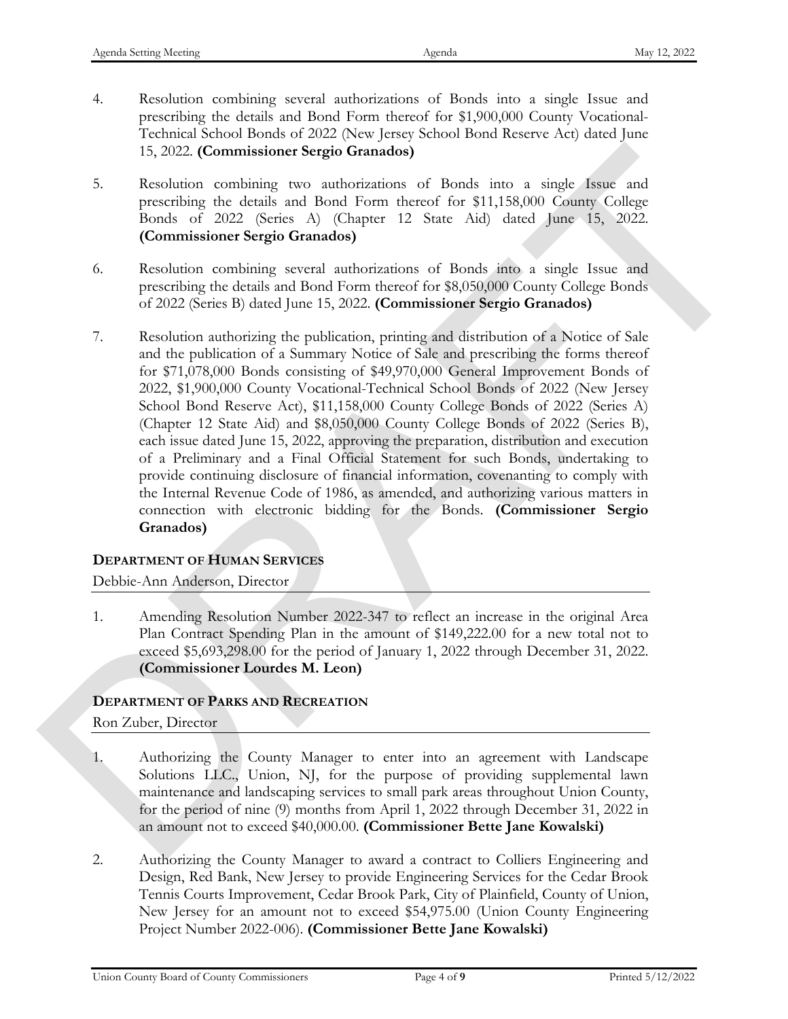- 4. Resolution combining several authorizations of Bonds into a single Issue and prescribing the details and Bond Form thereof for \$1,900,000 County Vocational-Technical School Bonds of 2022 (New Jersey School Bond Reserve Act) dated June 15, 2022. **(Commissioner Sergio Granados)**
- 5. Resolution combining two authorizations of Bonds into a single Issue and prescribing the details and Bond Form thereof for \$11,158,000 County College Bonds of 2022 (Series A) (Chapter 12 State Aid) dated June 15, 2022. **(Commissioner Sergio Granados)**
- 6. Resolution combining several authorizations of Bonds into a single Issue and prescribing the details and Bond Form thereof for \$8,050,000 County College Bonds of 2022 (Series B) dated June 15, 2022. **(Commissioner Sergio Granados)**
- 7. Resolution authorizing the publication, printing and distribution of a Notice of Sale and the publication of a Summary Notice of Sale and prescribing the forms thereof for \$71,078,000 Bonds consisting of \$49,970,000 General Improvement Bonds of 2022, \$1,900,000 County Vocational-Technical School Bonds of 2022 (New Jersey School Bond Reserve Act), \$11,158,000 County College Bonds of 2022 (Series A) (Chapter 12 State Aid) and \$8,050,000 County College Bonds of 2022 (Series B), each issue dated June 15, 2022, approving the preparation, distribution and execution of a Preliminary and a Final Official Statement for such Bonds, undertaking to provide continuing disclosure of financial information, covenanting to comply with the Internal Revenue Code of 1986, as amended, and authorizing various matters in connection with electronic bidding for the Bonds. **(Commissioner Sergio Granados)** 15, 2022. (Commissioner Sergio Granados)<br>
3. Recolution contains (ser and procedure and productions of the state in the state of the state of the state of the state of the state of the state of the state of the state of t

## **DEPARTMENT OF HUMAN SERVICES**

## Debbie-Ann Anderson, Director

1. Amending Resolution Number 2022-347 to reflect an increase in the original Area Plan Contract Spending Plan in the amount of \$149,222.00 for a new total not to exceed \$5,693,298.00 for the period of January 1, 2022 through December 31, 2022. **(Commissioner Lourdes M. Leon)**

## **DEPARTMENT OF PARKS AND RECREATION**

## Ron Zuber, Director

- 1. Authorizing the County Manager to enter into an agreement with Landscape Solutions LLC., Union, NJ, for the purpose of providing supplemental lawn maintenance and landscaping services to small park areas throughout Union County, for the period of nine (9) months from April 1, 2022 through December 31, 2022 in an amount not to exceed \$40,000.00. **(Commissioner Bette Jane Kowalski)**
- 2. Authorizing the County Manager to award a contract to Colliers Engineering and Design, Red Bank, New Jersey to provide Engineering Services for the Cedar Brook Tennis Courts Improvement, Cedar Brook Park, City of Plainfield, County of Union, New Jersey for an amount not to exceed \$54,975.00 (Union County Engineering Project Number 2022 -006). **(Commissioner Bette Jane Kowalski)**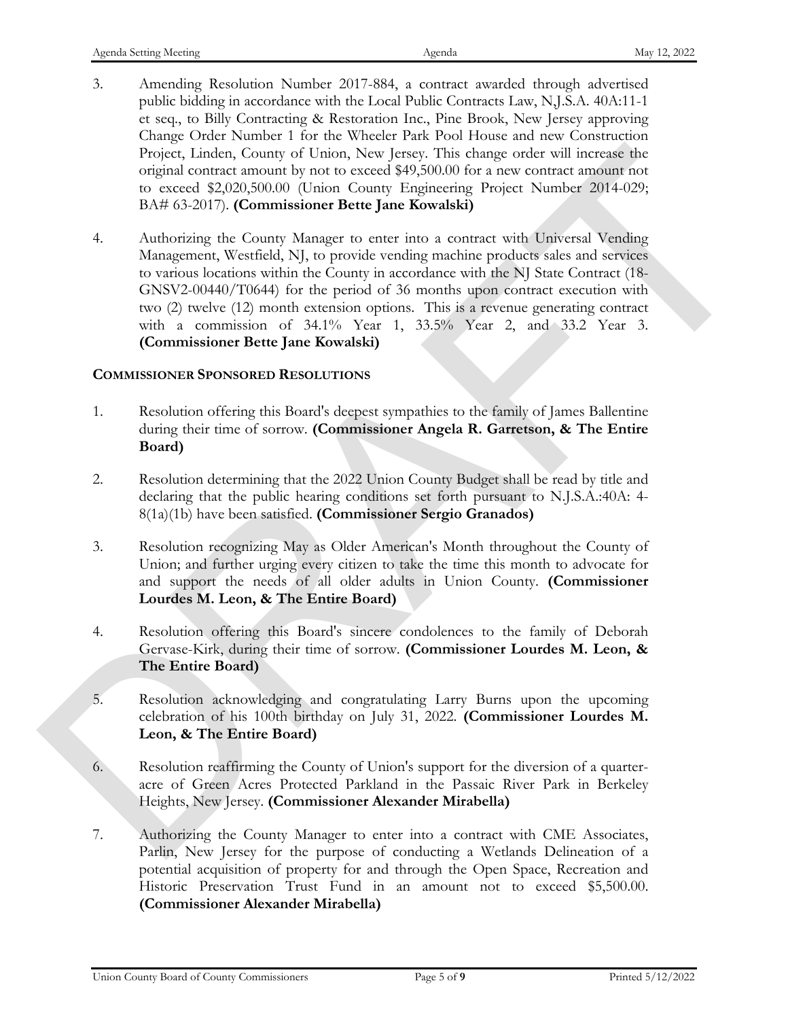- 3. Amending Resolution Number 2017-884, a contract awarded through advertised public bidding in accordance with the Local Public Contracts Law, N,J.S.A. 40A:11-1 et seq., to Billy Contracting & Restoration Inc., Pine Brook, New Jersey approving Change Order Number 1 for the Wheeler Park Pool House and new Construction Project, Linden, County of Union, New Jersey. This change order will increase the original contract amount by not to exceed \$49,500.00 for a new contract amount not to exceed \$2,020,500.00 (Union County Engineering Project Number 2014-029; BA# 63-2017). **(Commissioner Bette Jane Kowalski)**
- 4. Authorizing the County Manager to enter into a contract with Universal Vending Management, Westfield, NJ, to provide vending machine products sales and services to various locations within the County in accordance with the NJ State Contract (18- GNSV2-00440/T0644) for the period of 36 months upon contract execution with two (2) twelve (12) month extension options. This is a revenue generating contract with a commission of 34.1% Year 1, 33.5% Year 2, and 33.2 Year 3. **(Commissioner Bette Jane Kowalski)** Fronch, Lindar, Conary of Lance, New Jeers; this change code will increase the properties of the set of the stress of the stress of the stress of the stress of the stress (A) (Lindary control (Taple 20174). (Dark Conary M

## **COMMISSIONER SPONSORED RESOLUTIONS**

- 1. Resolution offering this Board's deepest sympathies to the family of James Ballentine during their time of sorrow. **(Commissioner Angela R. Garretson, & The Entire Board)**
- 2. Resolution determining that the 2022 Union County Budget shall be read by title and declaring that the public hearing conditions set forth pursuant to N.J.S.A.:40A: 4- 8(1a)(1b) have been satisfied. **(Commissioner Sergio Granados)**
- 3. Resolution recognizing May as Older American's Month throughout the County of Union; and further urging every citizen to take the time this month to advocate for and support the needs of all older adults in Union County. **(Commissioner Lourdes M. Leon, & The Entire Board)**
- 4. Resolution offering this Board's sincere condolences to the family of Deborah Gervase-Kirk, during their time of sorrow. **(Commissioner Lourdes M. Leon, & The Entire Board)**
- 5. Resolution acknowledging and congratulating Larry Burns upon the upcoming celebration of his 100th birthday on July 31, 2022. **(Commissioner Lourdes M. Leon, & The Entire Board)**
- 6. Resolution reaffirming the County of Union's support for the diversion of a quarteracre of Green Acres Protected Parkland in the Passaic River Park in Berkeley Heights, New Jersey. **(Commissioner Alexander Mirabella)**
- 7. Authorizing the County Manager to enter into a contract with CME Associates, Parlin, New Jersey for the purpose of conducting a Wetlands Delineation of a potential acquisition of property for and through the Open Space, Recreation and Historic Preservation Trust Fund in an amount not to exceed \$5,500.00. **(Commissioner Alexander Mirabella)**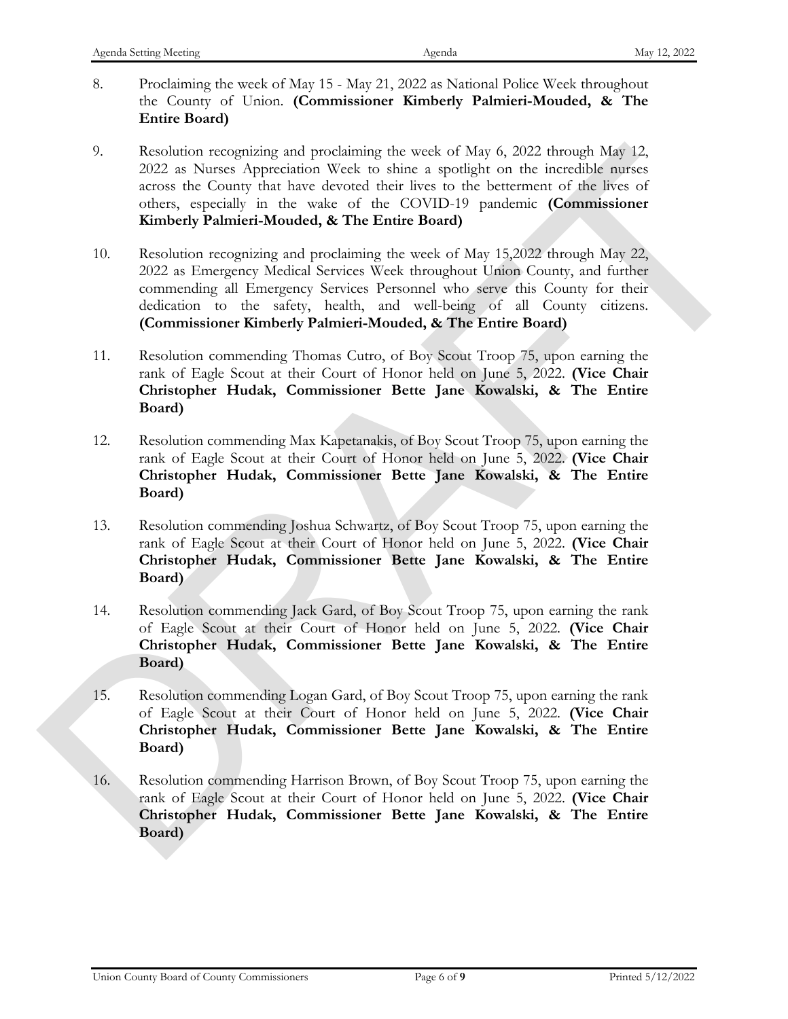- 8. Proclaiming the week of May 15 May 21, 2022 as National Police Week throughout the County of Union. **(Commissioner Kimberly Palmieri-Mouded, & The Entire Board)**
- 9. Resolution recognizing and proclaiming the week of May 6, 2022 through May 12, 2022 as Nurses Appreciation Week to shine a spotlight on the incredible nurses across the County that have devoted their lives to the betterment of the lives of others, especially in the wake of the COVID-19 pandemic **(Commissioner Kimberly Palmieri-Mouded, & The Entire Board)**
- 10. Resolution recognizing and proclaiming the week of May 15,2022 through May 22, 2022 as Emergency Medical Services Week throughout Union County, and further commending all Emergency Services Personnel who serve this County for their dedication to the safety, health, and well-being of all County citizens. **(Commissioner Kimberly Palmieri-Mouded, & The Entire Board)** 9.<br>
Resolution recognization at production the set of Map 6, 2022 through Map 12,<br>
Resolution recognization of the control of the control interaction<br>
across the Commissioner Control of the CoVID-19 pandemic Commissioner<br>
	- 11. Resolution commending Thomas Cutro, of Boy Scout Troop 75, upon earning the rank of Eagle Scout at their Court of Honor held on June 5, 2022. **(Vice Chair Christopher Hudak, Commissioner Bette Jane Kowalski, & The Entire Board)**
	- 12. Resolution commending Max Kapetanakis, of Boy Scout Troop 75, upon earning the rank of Eagle Scout at their Court of Honor held on June 5, 2022. **(Vice Chair Christopher Hudak, Commissioner Bette Jane Kowalski, & The Entire Board)**
	- 13. Resolution commending Joshua Schwartz, of Boy Scout Troop 75, upon earning the rank of Eagle Scout at their Court of Honor held on June 5, 2022. **(Vice Chair Christopher Hudak, Commissioner Bette Jane Kowalski, & The Entire Board)**
	- 14. Resolution commending Jack Gard, of Boy Scout Troop 75, upon earning the rank of Eagle Scout at their Court of Honor held on June 5, 2022. **(Vice Chair Christopher Hudak, Commissioner Bette Jane Kowalski, & The Entire Board)**
	- 15. Resolution commending Logan Gard, of Boy Scout Troop 75, upon earning the rank of Eagle Scout at their Court of Honor held on June 5, 2022. **(Vice Chair Christopher Hudak, Commissioner Bette Jane Kowalski, & The Entire Board)**
	- 16. Resolution commending Harrison Brown, of Boy Scout Troop 75, upon earning the rank of Eagle Scout at their Court of Honor held on June 5, 2022. **(Vice Chair Christopher Hudak, Commissioner Bette Jane Kowalski, & The Entire Board)**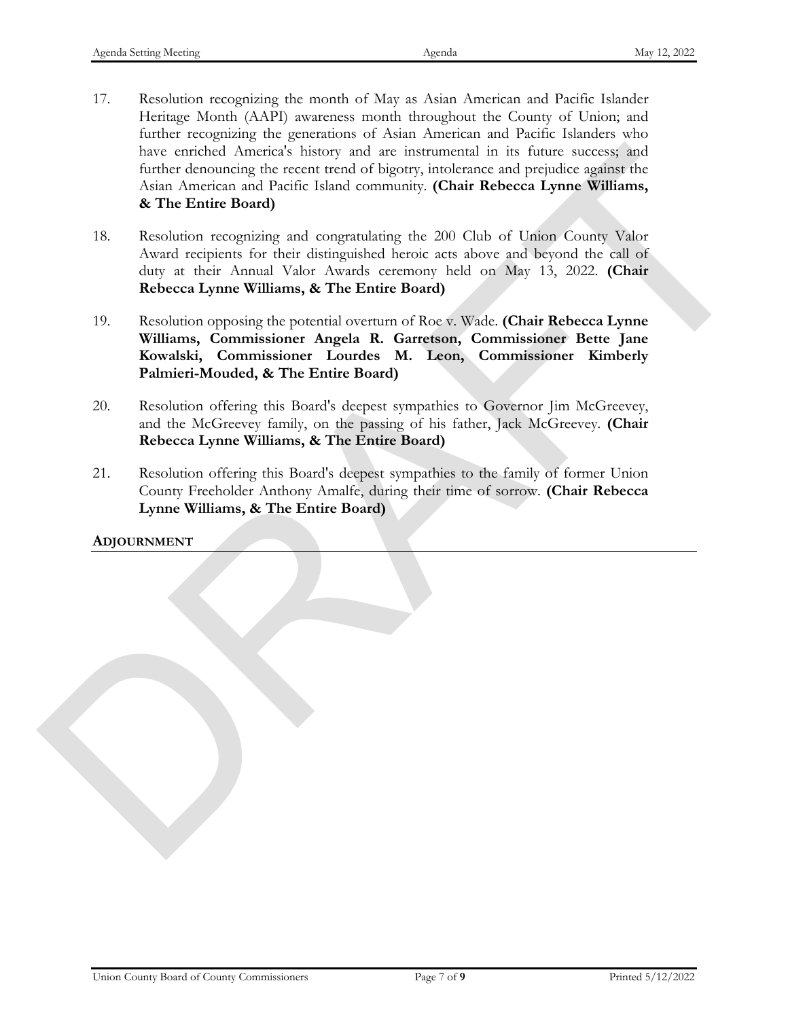- 17. Resolution recognizing the month of May as Asian American and Pacific Islander Heritage Month (AAPI) awareness month throughout the County of Union; and further recognizing the generations of Asian American and Pacific Islanders who have enriched America's history and are instrumental in its future success; and further denouncing the recent trend of bigotry, intolerance and prejudice against the Asian American and Pacific Island community. **(Chair Rebecca Lynne Williams, & The Entire Board)** bene errebed America) is boro and Parisi international in its fourth such that the state of choosing the recent translite Island community. (Chair Rehecea Lyone Williams, A.The Entire Bourn)<br>Asian American and Pasific Isla
	- 18. Resolution recognizing and congratulating the 200 Club of Union County Valor Award recipients for their distinguished heroic acts above and beyond the call of duty at their Annual Valor Awards ceremony held on May 13, 2022. **(Chair Rebecca Lynne Williams, & The Entire Board)**
	- 19. Resolution opposing the potential overturn of Roe v. Wade. **(Chair Rebecca Lynne Williams, Commissioner Angela R. Garretson, Commissioner Bette Jane Kowalski, Commissioner Lourdes M. Leon, Commissioner Kimberly Palmieri-Mouded, & The Entire Board)**
	- 20. Resolution offering this Board's deepest sympathies to Governor Jim McGreevey, and the McGreevey family, on the passing of his father, Jack McGreevey. **(Chair Rebecca Lynne Williams, & The Entire Board)**
	- 21. Resolution offering this Board's deepest sympathies to the family of former Union County Freeholder Anthony Amalfe, during their time of sorrow. **(Chair Rebecca Lynne Williams, & The Entire Board)**

## **ADJOURNMENT**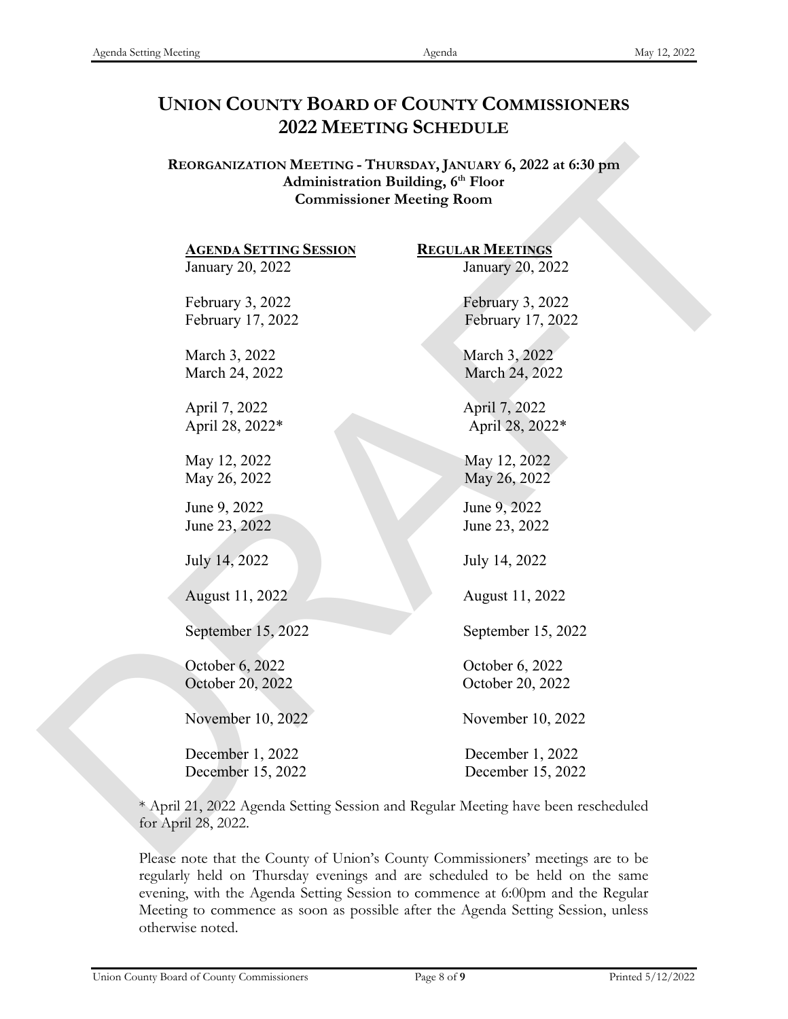## **UNION COUNTY BOARD OF COUNTY COMMISSIONERS 2022 MEETING SCHEDULE**

**REORGANIZATION MEETING - THURSDAY, JANUARY 6, 2022 at 6:30 pm Administration Building, 6th Floor Commissioner Meeting Room**

January 20, 2022 January 20, 2022 February 3, 2022 February 3, 2022 February 17, 2022 February 17, 2022 March 3, 2022 March 3, 2022 March 24, 2022 March 24, 2022 April 7, 2022 April 7, 2022 April 28, 2022\* April 28, 2022\* May 12, 2022 May 12, 2022 May 26, 2022 May 26, 2022 June 9, 2022 June 9, 2022 June 23, 2022 June 23, 2022 July 14, 2022 July 14, 2022 August 11, 2022 August 11, 2022 **REORGANIZATION MEETING** - TIItTestowy, JANUARY 6, 2022 at 6:30 pm<br>
Activity and Commissioner Meeting (P Floor<br>
Commissioner Meeting Room<br>  $20, 2022$ <br>
February 3,01, 2022<br>
February 1, 2022<br>
Herbarry 1, 2022<br>
March 3, 2022

September 15, 2022 September 15, 2022

October 6, 2022 October 6, 2022 October 20, 2022 October 20, 2022

November 10, 2022 November 10, 2022

December 1, 2022 December 1, 2022 December 15, 2022 December 15, 2022

**AGENDA SETTING SESSION REGULAR MEETINGS**

\* April 21, 2022 Agenda Setting Session and Regular Meeting have been rescheduled for April 28, 2022.

Please note that the County of Union's County Commissioners' meetings are to be regularly held on Thursday evenings and are scheduled to be held on the same evening, with the Agenda Setting Session to commence at 6:00pm and the Regular Meeting to commence as soon as possible after the Agenda Setting Session, unless otherwise noted.